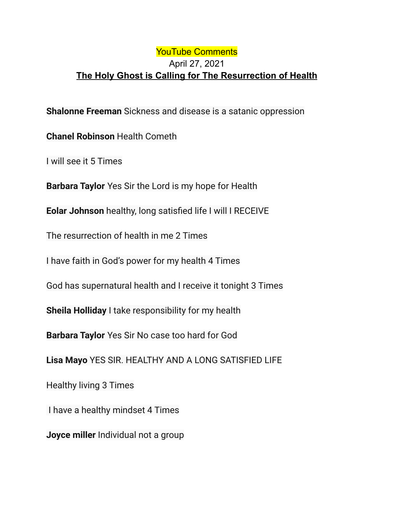## YouTube Comments April 27, 2021 **The Holy Ghost is Calling for The Resurrection of Health**

**Shalonne Freeman** Sickness and disease is a satanic oppression

**Chanel Robinson** Health Cometh

I will see it 5 Times

**Barbara Taylor** Yes Sir the Lord is my hope for Health

**Eolar Johnson** healthy, long satisfied life I will I RECEIVE

The resurrection of health in me 2 Times

I have faith in God's power for my health 4 Times

God has supernatural health and I receive it tonight 3 Times

**Sheila Holliday** I take responsibility for my health

**Barbara Taylor** Yes Sir No case too hard for God

**Lisa Mayo** YES SIR. HEALTHY AND A LONG SATISFIED LIFE

Healthy living 3 Times

I have a healthy mindset 4 Times

**Joyce miller** Individual not a group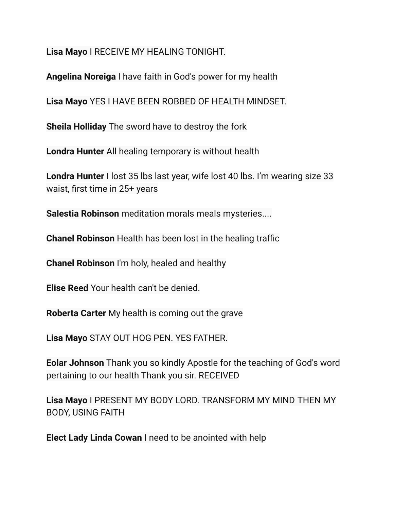**Lisa Mayo** I RECEIVE MY HEALING TONIGHT.

**Angelina Noreiga** I have faith in God's power for my health

**Lisa Mayo** YES I HAVE BEEN ROBBED OF HEALTH MINDSET.

**Sheila Holliday** The sword have to destroy the fork

**Londra Hunter** All healing temporary is without health

**Londra Hunter** I lost 35 lbs last year, wife lost 40 lbs. I'm wearing size 33 waist, first time in 25+ years

**Salestia Robinson** meditation morals meals mysteries....

**Chanel Robinson** Health has been lost in the healing traffic

**Chanel Robinson** I'm holy, healed and healthy

**Elise Reed** Your health can't be denied.

**Roberta Carter** My health is coming out the grave

**Lisa Mayo** STAY OUT HOG PEN. YES FATHER.

**Eolar Johnson** Thank you so kindly Apostle for the teaching of God's word pertaining to our health Thank you sir. RECEIVED

**Lisa Mayo** I PRESENT MY BODY LORD. TRANSFORM MY MIND THEN MY BODY, USING FAITH

**Elect Lady Linda Cowan** I need to be anointed with help